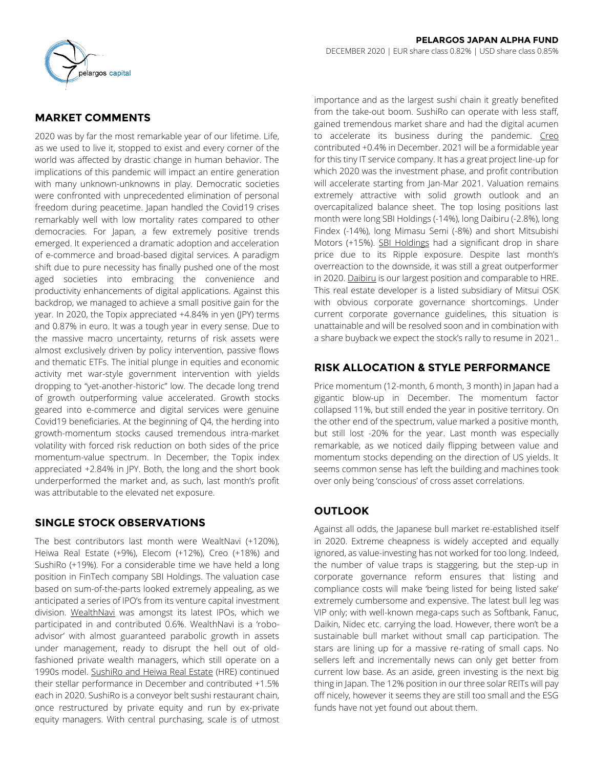

# **MARKET COMMENTS**

2020 was by far the most remarkable year of our lifetime. Life, as we used to live it, stopped to exist and every corner of the world was affected by drastic change in human behavior. The implications of this pandemic will impact an entire generation with many unknown-unknowns in play. Democratic societies were confronted with unprecedented elimination of personal freedom during peacetime. Japan handled the Covid19 crises remarkably well with low mortality rates compared to other democracies. For Japan, a few extremely positive trends emerged. It experienced a dramatic adoption and acceleration of e-commerce and broad-based digital services. A paradigm shift due to pure necessity has finally pushed one of the most aged societies into embracing the convenience and productivity enhancements of digital applications. Against this backdrop, we managed to achieve a small positive gain for the year. In 2020, the Topix appreciated +4.84% in yen (JPY) terms and 0.87% in euro. It was a tough year in every sense. Due to the massive macro uncertainty, returns of risk assets were almost exclusively driven by policy intervention, passive flows and thematic ETFs. The initial plunge in equities and economic activity met war-style government intervention with yields dropping to "yet-another-historic" low. The decade long trend of growth outperforming value accelerated. Growth stocks geared into e-commerce and digital services were genuine Covid19 beneficiaries. At the beginning of Q4, the herding into growth-momentum stocks caused tremendous intra-market volatility with forced risk reduction on both sides of the price momentum-value spectrum. In December, the Topix index appreciated +2.84% in JPY. Both, the long and the short book underperformed the market and, as such, last month's profit was attributable to the elevated net exposure.

# **SINGLE STOCK OBSERVATIONS**

The best contributors last month were WealtNavi (+120%), Heiwa Real Estate (+9%), Elecom (+12%), Creo (+18%) and SushiRo (+19%). For a considerable time we have held a long position in FinTech company SBI Holdings. The valuation case based on sum-of-the-parts looked extremely appealing, as we anticipated a series of IPO's from its venture capital investment division. WealthNavi was amongst its latest IPOs, which we participated in and contributed 0.6%. WealthNavi is a 'roboadvisor' with almost guaranteed parabolic growth in assets under management, ready to disrupt the hell out of oldfashioned private wealth managers, which still operate on a 1990s model. SushiRo and Heiwa Real Estate (HRE) continued their stellar performance in December and contributed +1.5% each in 2020. SushiRo is a conveyor belt sushi restaurant chain, once restructured by private equity and run by ex-private equity managers. With central purchasing, scale is of utmost importance and as the largest sushi chain it greatly benefited from the take-out boom. SushiRo can operate with less staff, gained tremendous market share and had the digital acumen to accelerate its business during the pandemic. Creo contributed +0.4% in December. 2021 will be a formidable year for this tiny IT service company. It has a great project line-up for which 2020 was the investment phase, and profit contribution will accelerate starting from Jan-Mar 2021. Valuation remains extremely attractive with solid growth outlook and an overcapitalized balance sheet. The top losing positions last month were long SBI Holdings (-14%), long Daibiru (-2.8%), long Findex (-14%), long Mimasu Semi (-8%) and short Mitsubishi Motors (+15%). SBI Holdings had a significant drop in share price due to its Ripple exposure. Despite last month's overreaction to the downside, it was still a great outperformer in 2020. Daibiru is our largest position and comparable to HRE. This real estate developer is a listed subsidiary of Mitsui OSK with obvious corporate governance shortcomings. Under current corporate governance guidelines, this situation is unattainable and will be resolved soon and in combination with a share buyback we expect the stock's rally to resume in 2021..

# **RISK ALLOCATION & STYLE PERFORMANCE**

Price momentum (12-month, 6 month, 3 month) in Japan had a gigantic blow-up in December. The momentum factor collapsed 11%, but still ended the year in positive territory. On the other end of the spectrum, value marked a positive month, but still lost -20% for the year. Last month was especially remarkable, as we noticed daily flipping between value and momentum stocks depending on the direction of US yields. It seems common sense has left the building and machines took over only being 'conscious' of cross asset correlations.

# **OUTLOOK**

Against all odds, the Japanese bull market re-established itself in 2020. Extreme cheapness is widely accepted and equally ignored, as value-investing has not worked for too long. Indeed, the number of value traps is staggering, but the step-up in corporate governance reform ensures that listing and compliance costs will make 'being listed for being listed sake' extremely cumbersome and expensive. The latest bull leg was VIP only; with well-known mega-caps such as Softbank, Fanuc, Daikin, Nidec etc. carrying the load. However, there won't be a sustainable bull market without small cap participation. The stars are lining up for a massive re-rating of small caps. No sellers left and incrementally news can only get better from current low base. As an aside, green investing is the next big thing in Japan. The 12% position in our three solar REITs will pay off nicely, however it seems they are still too small and the ESG funds have not yet found out about them.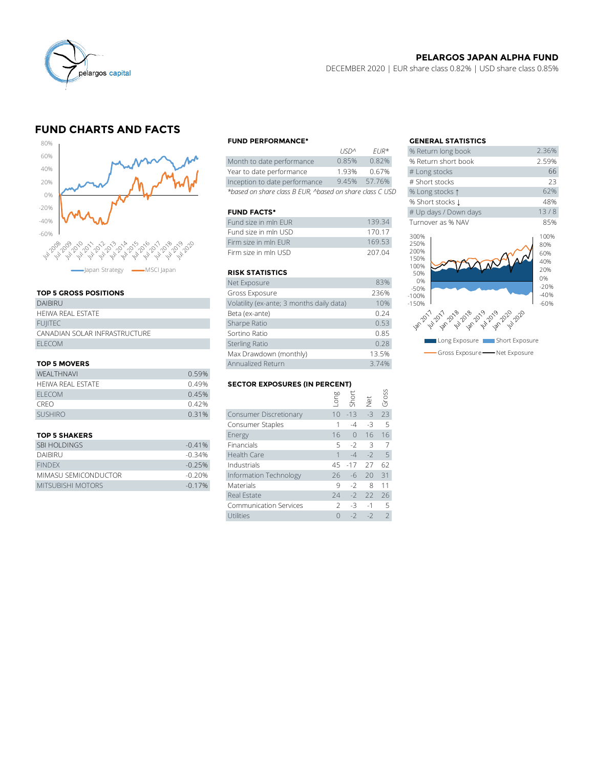

## **PELARGOS JAPAN ALPHA FUND**

DECEMBER 2020 | EUR share class 0.82% | USD share class 0.85%

# **FUND CHARTS AND FACTS**



## **TOP 5 GROSS POSITIONS**

| <b>DAIBIRU</b>                | Volatility (ex-ante; 3 months daily data) |
|-------------------------------|-------------------------------------------|
| HEIWA REAL ESTATE             | Beta (ex-ante)                            |
| <b>FUIITEC</b>                | Sharpe Ratio                              |
| CANADIAN SOLAR INFRASTRUCTURE | Sortino Ratio                             |
| FI FCOM                       | <b>Sterling Ratio</b>                     |

### **TOP 5 MOVERS**

|                          | Max Drawdown (monthly) |                                      |      | 13.5%     |      |       |
|--------------------------|------------------------|--------------------------------------|------|-----------|------|-------|
| <b>TOP 5 MOVERS</b>      | Annualized Return      |                                      |      |           |      |       |
| <b>WEALTHNAVI</b>        | 0.59%                  |                                      |      |           |      |       |
| <b>HEIWA REAL ESTATE</b> | 0.49%                  | <b>SECTOR EXPOSURES (IN PERCENT)</b> |      |           |      |       |
| <b>ELECOM</b>            | 0.45%                  |                                      | Buo- |           |      | Gross |
| <b>CREO</b>              | 0.42%                  |                                      |      | Shor      | JΨ   |       |
| <b>SUSHIRO</b>           | 0.31%                  | <b>Consumer Discretionary</b>        |      | $10 - 13$ | $-3$ | 73    |
|                          |                        | Consumer Staples                     |      | -4        | $-3$ | - 5   |
|                          |                        |                                      |      |           |      |       |

| <b>SBI HOLDINGS</b>  | $-0.41%$ | Financials             | $5 - 2 = 3$  |             |      |
|----------------------|----------|------------------------|--------------|-------------|------|
| <b>DAIBIRU</b>       | $-0.34%$ | Health Care            |              | $-4$ $-2$ 5 |      |
| <b>FINDEX</b>        | $-0.25%$ | Industrials            | 45 -17 27 62 |             |      |
| MIMASU SEMICONDUCTOR | $-0.20%$ | Information Technology | 26 -6 20 31  |             |      |
| MITSUBISHI MOTORS    | $-0.17%$ | <b>Materials</b>       | 9. - 2.      |             | 8 11 |

### **FUND PERFORMANCE\* GENERAL STATISTICS**

|                                                          | 11511'          | FUR <sup>"</sup> | % Return iong Dook  |
|----------------------------------------------------------|-----------------|------------------|---------------------|
| Month to date performance                                | 0.85%           | 0.82%            | % Return short book |
| Year to date performance                                 | 1.93%           | 0.67%            | # Long stocks       |
| Inception to date performance                            | 9.45%           | 57.76%           | # Short stocks      |
| *based on share class B EUR, ^based on share class C USD | % Long stocks 1 |                  |                     |

### **FUND FACTS\***

| Fund size in mln EUR | 139.34 | Turnover as % NAV |
|----------------------|--------|-------------------|
| Fund size in mln USD | 170 17 | 300%              |
| Firm size in mln FUR | 169.53 | 250%              |
| Firm size in mln USD | 207.04 | 200%<br>1001      |

### **RISK STATISTICS**

| Net Exposure                              | 83%   |
|-------------------------------------------|-------|
| Gross Exposure                            | 236%  |
| Volatility (ex-ante; 3 months daily data) | 10%   |
| Beta (ex-ante)                            | 0.24  |
| Sharpe Ratio                              | 0.53  |
| Sortino Ratio                             | 0.85  |
| <b>Sterling Ratio</b>                     | 0.28  |
| Max Drawdown (monthly)                    | 13.5% |
| Annualized Return                         | 3.74% |

## **SECTOR EXPOSURES (IN PERCENT)**

| <b>WEALTHNAVI</b>    | 0.59%                                |                               |               |           |      |                |  |
|----------------------|--------------------------------------|-------------------------------|---------------|-----------|------|----------------|--|
| HEIWA REAL ESTATE    | <b>SECTOR EXPOSURES (IN PERCENT)</b> |                               |               |           |      |                |  |
| <b>ELECOM</b>        | 0.45%                                |                               | suo-          | Short     |      | Gross          |  |
| <b>CREO</b>          | 0.42%                                |                               |               |           | Net  |                |  |
| <b>SUSHIRO</b>       | 0.31%                                | Consumer Discretionary        | 10            | $-13$     | $-3$ | 23             |  |
|                      |                                      | Consumer Staples              |               | $-4$      | -3   | -5             |  |
| <b>TOP 5 SHAKERS</b> |                                      | Energy                        | 16            | $\bigcap$ | 16   | 16             |  |
| <b>SBI HOLDINGS</b>  | $-0.41%$                             | Financials                    | 5             | $-2$      | 3    | 7              |  |
| <b>DAIBIRU</b>       | $-0.34%$                             | Health Care                   |               | $-4$      | $-2$ | -5             |  |
| <b>FINDFX</b>        | $-0.25%$                             | Industrials                   | 45            | $-17$     | 27   | 62             |  |
| MIMASU SEMICONDUCTOR | $-0.20%$                             | Information Technology        | 26            | -6        | 20   | 31             |  |
| MITSUBISHI MOTORS    | $-0.17%$                             | Materials                     | 9             | $-2$      | 8    | 11             |  |
|                      |                                      | Real Estate                   | 24            | $-2$      | 22   | 26             |  |
|                      |                                      | <b>Communication Services</b> | $\mathcal{P}$ | $-3$      | $-1$ | .5             |  |
|                      |                                      | Utilities                     | $\Omega$      | $-2$      | $-2$ | $\overline{2}$ |  |
|                      |                                      |                               |               |           |      |                |  |

|             |                      | <b>GENERAL STATISTICS</b>         |                   |
|-------------|----------------------|-----------------------------------|-------------------|
| <b>USDA</b> | $EUR*$               | % Return long book                | 2.36%             |
| 0.85%       | 0.82%                | % Return short book               | 2.59%             |
| 1.93%       | 0.67%                | # Long stocks                     | 66                |
| 9.45%       | 57.76%               | # Short stocks                    | 23                |
|             | on share class C USD | % Long stocks 1                   | 62%               |
|             |                      | % Short stocks L                  | 48%               |
|             |                      | # Up days / Down days             | 13/8              |
|             | 139.34               | Turnover as % NAV                 | 85%               |
|             | 170.17               | 300%                              | 100%              |
|             | 169.53               | 250%                              | 80%               |
|             | 207.04               | 200%<br>150%<br>100%<br>50%       | 60%<br>40%<br>20% |
|             | 83%                  | 0%                                | 0%<br>$-20%$      |
|             | 236%                 | $-50%$<br>$-100%$                 | $-40%$            |
| ita)        | 10%                  | $-150%$                           | $-60%$            |
|             | 0.24                 |                                   |                   |
|             | 0.53                 |                                   |                   |
|             | 0.85                 |                                   |                   |
|             | 0.28                 | Long Exposure I<br>Short Exposure |                   |
|             | 13.5%                | Gross Exposure - Net Exposure     |                   |
|             |                      |                                   |                   |